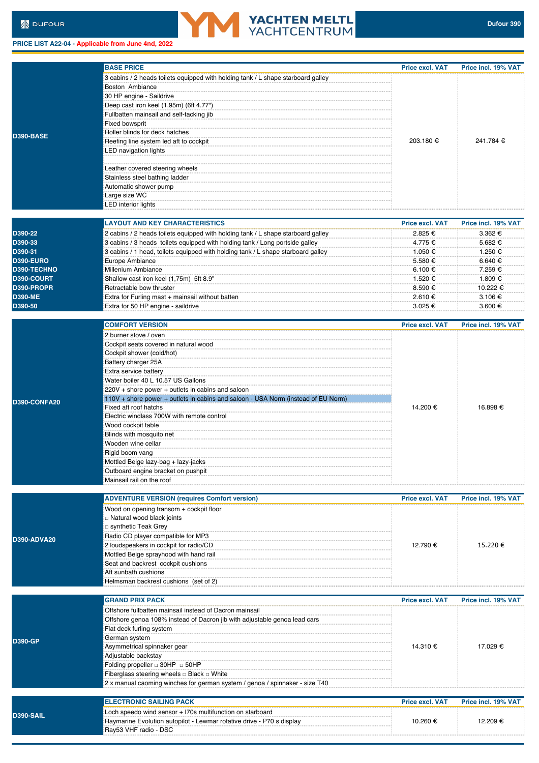**PRICE LIST A22-04 - Applicable from June 4nd, 2022**

Ray53 VHF radio - DSC



|                  | <b>BASE PRICE</b>                                                                                                                    | <b>Price excl. VAT</b> | Price incl. 19% VAT |
|------------------|--------------------------------------------------------------------------------------------------------------------------------------|------------------------|---------------------|
|                  | 3 cabins / 2 heads toilets equipped with holding tank / L shape starboard galley                                                     |                        |                     |
|                  | Boston Ambiance                                                                                                                      |                        |                     |
|                  | 30 HP engine - Saildrive                                                                                                             |                        |                     |
|                  | Deep cast iron keel (1,95m) (6ft 4.77")                                                                                              |                        |                     |
|                  | Fullbatten mainsail and self-tacking jib                                                                                             |                        |                     |
|                  | Fixed bowsprit                                                                                                                       |                        |                     |
| D390-BASE        | Roller blinds for deck hatches                                                                                                       |                        | 241.784 €           |
|                  | Reefing line system led aft to cockpit                                                                                               | 203.180 €              |                     |
|                  | LED navigation lights                                                                                                                |                        |                     |
|                  |                                                                                                                                      |                        |                     |
|                  | Leather covered steering wheels                                                                                                      |                        |                     |
|                  | Stainless steel bathing ladder                                                                                                       |                        |                     |
|                  | Automatic shower pump                                                                                                                |                        |                     |
|                  | Large size WC                                                                                                                        |                        |                     |
|                  | LED interior lights                                                                                                                  |                        |                     |
|                  | <b>LAYOUT AND KEY CHARACTERISTICS</b>                                                                                                | <b>Price excl. VAT</b> | Price incl. 19% VAT |
| D390-22          | 2 cabins / 2 heads toilets equipped with holding tank / L shape starboard galley                                                     | 2.825 €                | 3.362 €             |
| D390-33          | 3 cabins / 3 heads toilets equipped with holding tank / Long portside galley                                                         | 4.775 €                | 5.682 €             |
| D390-31          | 3 cabins / 1 head, toilets equipped with holding tank / L shape starboard galley                                                     | 1.050 €                | 1.250 €             |
| <b>D390-EURO</b> | Europe Ambiance                                                                                                                      | 5.580 €                | 6.640 €             |
| D390-TECHNO      | Millenium Ambiance                                                                                                                   | 6.100 €                | 7.259 €             |
| D390-COURT       | Shallow cast iron keel (1,75m) 5ft 8.9"                                                                                              | 1.520 €                | 1.809 €             |
| D390-PROPR       | Retractable bow thruster                                                                                                             | 8.590 €                | 10.222 €            |
| <b>D390-ME</b>   | Extra for Furling mast + mainsail without batten                                                                                     | 2.610 €                | 3.106 €             |
| D390-50          | Extra for 50 HP engine - saildrive                                                                                                   | 3.025 €                | 3.600 €             |
|                  | <b>COMFORT VERSION</b>                                                                                                               | <b>Price excl. VAT</b> | Price incl. 19% VAT |
|                  | 2 burner stove / oven                                                                                                                |                        |                     |
|                  | Cockpit seats covered in natural wood                                                                                                |                        |                     |
|                  | Cockpit shower (cold/hot)                                                                                                            |                        |                     |
|                  | Battery charger 25A                                                                                                                  |                        |                     |
|                  | Extra service battery                                                                                                                |                        |                     |
|                  | Water boiler 40 L 10.57 US Gallons                                                                                                   |                        |                     |
|                  | 220V + shore power + outlets in cabins and saloon                                                                                    |                        | 16.898 €            |
| D390-CONFA20     | 110V + shore power + outlets in cabins and saloon - USA Norm (instead of EU Norm)                                                    |                        |                     |
|                  | Fixed aft roof hatchs                                                                                                                | 14.200 €               |                     |
|                  | Electric windlass 700W with remote control                                                                                           |                        |                     |
|                  | Wood cockpit table                                                                                                                   |                        |                     |
|                  | Blinds with mosquito net                                                                                                             |                        |                     |
|                  | Wooden wine cellar                                                                                                                   |                        |                     |
|                  | Rigid boom vang                                                                                                                      |                        |                     |
|                  | Mottled Beige lazy-bag + lazy-jacks                                                                                                  |                        |                     |
|                  | Outboard engine bracket on pushpit<br>Mainsail rail on the roof                                                                      |                        |                     |
|                  |                                                                                                                                      |                        |                     |
|                  | <b>ADVENTURE VERSION (requires Comfort version)</b>                                                                                  | <b>Price excl. VAT</b> | Price incl. 19% VAT |
|                  | Wood on opening transom + cockpit floor                                                                                              |                        |                     |
|                  | □ Natural wood black joints                                                                                                          |                        |                     |
|                  | □ synthetic Teak Grey                                                                                                                |                        |                     |
| D390-ADVA20      | Radio CD player compatible for MP3                                                                                                   |                        |                     |
|                  | 2 loudspeakers in cockpit for radio/CD                                                                                               | 12.790 €               | 15.220 €            |
|                  | Mottled Beige sprayhood with hand rail                                                                                               |                        |                     |
|                  | Seat and backrest cockpit cushions                                                                                                   |                        |                     |
|                  | Aft sunbath cushions<br>Helmsman backrest cushions (set of 2)                                                                        |                        |                     |
|                  |                                                                                                                                      |                        |                     |
|                  | <b>GRAND PRIX PACK</b>                                                                                                               | <b>Price excl. VAT</b> | Price incl. 19% VAT |
|                  | Offshore fullbatten mainsail instead of Dacron mainsail<br>Offshore genoa 108% instead of Dacron jib with adjustable genoa lead cars |                        |                     |
|                  | Flat deck furling system                                                                                                             |                        | 17.029 €            |
|                  | German system                                                                                                                        |                        |                     |
| <b>D390-GP</b>   | Asymmetrical spinnaker gear                                                                                                          | 14.310 €               |                     |
|                  | Adjustable backstay                                                                                                                  |                        |                     |
|                  | Folding propeller $\Box$ 30HP $\Box$ 50HP                                                                                            |                        |                     |
|                  | Fiberglass steering wheels □ Black □ White                                                                                           |                        |                     |
|                  | 2 x manual caoming winches for german system / genoa / spinnaker - size T40                                                          |                        |                     |
|                  |                                                                                                                                      |                        |                     |
|                  | <b>ELECTRONIC SAILING PACK</b>                                                                                                       | <b>Price excl. VAT</b> | Price incl. 19% VAT |
| D390-SAIL        | Loch speedo wind sensor + I70s multifunction on starboard                                                                            |                        |                     |
|                  | Raymarine Evolution autopilot - Lewmar rotative drive - P70 s display                                                                | 10.260 €               | 12.209 €            |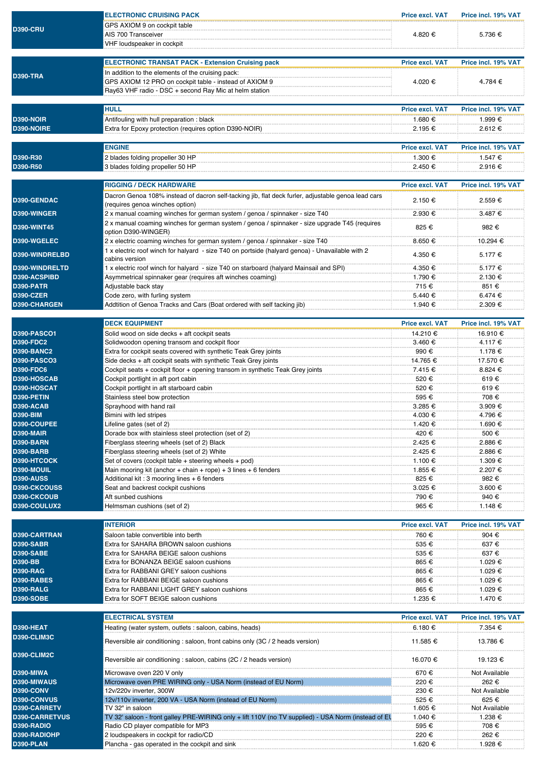|                       | <b>ELECTRONIC CRUISING PACK</b>                                                                     | <b>Price excl. VAT</b> | Price incl. 19% VAT |
|-----------------------|-----------------------------------------------------------------------------------------------------|------------------------|---------------------|
|                       | GPS AXIOM 9 on cockpit table                                                                        |                        |                     |
| <b>D390-CRU</b>       | AIS 700 Transceiver                                                                                 | 4.820 €                | 5.736 €             |
|                       |                                                                                                     |                        |                     |
|                       | VHF loudspeaker in cockpit                                                                          |                        |                     |
|                       |                                                                                                     |                        |                     |
|                       | <b>ELECTRONIC TRANSAT PACK - Extension Cruising pack</b>                                            | <b>Price excl. VAT</b> | Price incl. 19% VAT |
|                       | In addition to the elements of the cruising pack:                                                   |                        |                     |
| <b>D390-TRA</b>       |                                                                                                     |                        |                     |
|                       | GPS AXIOM 12 PRO on cockpit table - instead of AXIOM 9                                              | 4.020 €                | 4.784 €             |
|                       | Ray63 VHF radio - DSC + second Ray Mic at helm station                                              |                        |                     |
|                       |                                                                                                     |                        |                     |
|                       | <b>HULL</b>                                                                                         | <b>Price excl. VAT</b> | Price incl. 19% VAT |
|                       |                                                                                                     |                        |                     |
| <b>D390-NOIR</b>      | Antifouling with hull preparation: black                                                            | 1.680 €                | 1.999 €             |
| D390-NOIRE            | Extra for Epoxy protection (requires option D390-NOIR)                                              | 2.195 €                | 2.612 €             |
|                       |                                                                                                     |                        |                     |
|                       | <b>ENGINE</b>                                                                                       | <b>Price excl. VAT</b> | Price incl. 19% VAT |
| D390-R30              |                                                                                                     | 1.300 €                | 1.547 €             |
|                       | 2 blades folding propeller 30 HP                                                                    |                        |                     |
| D390-R50              | 3 blades folding propeller 50 HP                                                                    | 2.450 €                | 2.916 €             |
|                       |                                                                                                     |                        |                     |
|                       | <b>RIGGING / DECK HARDWARE</b>                                                                      | <b>Price excl. VAT</b> | Price incl. 19% VAT |
|                       | Dacron Genoa 108% instead of dacron self-tacking jib, flat deck furler, adjustable genoa lead cars  |                        |                     |
| D390-GENDAC           |                                                                                                     | 2.150 €                | 2.559€              |
|                       | (requires genoa winches option)                                                                     |                        |                     |
| D390-WINGER           | 2 x manual coaming winches for german system / genoa / spinnaker - size T40                         | 2.930 €                | 3.487 €             |
|                       | 2 x manual coaming winches for german system / genoa / spinnaker - size upgrade T45 (requires       |                        |                     |
| <b>D390-WINT45</b>    | option D390-WINGER)                                                                                 | 825 €                  | 982€                |
| D390-WGELEC           | 2 x electric coaming winches for german system / genoa / spinnaker - size T40                       | 8.650 €                | 10.294 €            |
|                       |                                                                                                     |                        |                     |
| D390-WINDRELBD        | 1 x electric roof winch for halyard - size T40 on portside (halyard genoa) - Unavailable with 2     | 4.350 €                | 5.177 €             |
|                       | cabins version                                                                                      |                        |                     |
| D390-WINDRELTD        | 1 x electric roof winch for halyard - size T40 on starboard (halyard Mainsail and SPI)              | 4.350 €                | 5.177 €             |
| D390-ACSPIBD          | Asymmetrical spinnaker gear (requires aft winches coaming)                                          | 1.790 €                | 2.130 €             |
| D390-PATR             | Adjustable back stay                                                                                | 715 €                  | 851 €               |
| D390-CZER             | Code zero, with furling system                                                                      |                        | 6.474 €             |
|                       |                                                                                                     | 5.440 €                |                     |
| D390-CHARGEN          | Addtition of Genoa Tracks and Cars (Boat ordered with self tacking jib)                             | 1.940 €                | 2.309 €             |
|                       |                                                                                                     |                        |                     |
|                       | <b>DECK EQUIPMENT</b>                                                                               | <b>Price excl. VAT</b> | Price incl. 19% VAT |
| <b>D390-PASCO1</b>    | Solid wood on side decks + aft cockpit seats                                                        | 14.210 €               | 16.910 €            |
|                       |                                                                                                     |                        |                     |
| <b>D390-FDC2</b>      | Solidwoodon opening transom and cockpit floor                                                       | 3.460 €                | 4.117 €             |
| <b>D390-BANC2</b>     | Extra for cockpit seats covered with synthetic Teak Grey joints                                     | 990 €                  | 1.178 €             |
| <b>D390-PASCO3</b>    | Side decks + aft cockpit seats with synthetic Teak Grey joints                                      | 14.765 €               | 17.570 €            |
| <b>D390-FDC6</b>      | Cockpit seats + cockpit floor + opening transom in synthetic Teak Grey joints                       | 7.415 €                | 8.824 €             |
| D390-HOSCAB           | Cockpit portlight in aft port cabin                                                                 | 520 €                  | 619€                |
|                       |                                                                                                     |                        |                     |
| D390-HOSCAT           | Cockpit portlight in aft starboard cabin                                                            | 520 €                  | 619€                |
| D390-PETIN            | Stainless steel bow protection                                                                      | 595 €                  | 708€                |
| D390-ACAB             | Sprayhood with hand rail                                                                            | 3.285 €                | 3.909 €             |
| <b>D390-BIM</b>       | Bimini with led stripes                                                                             | 4.030 €                | 4.796 €             |
| D390-COUPEE           | Lifeline gates (set of 2)                                                                           | 1.420 €                | 1.690 €             |
| D390-MAIR             | Dorade box with stainless steel protection (set of 2)                                               | 420 €                  | 500 €               |
| D390-BARN             |                                                                                                     | 2.425 €                | 2.886 €             |
|                       | Fiberglass steering wheels (set of 2) Black                                                         |                        |                     |
| D390-BARB             | Fiberglass steering wheels (set of 2) White                                                         | 2.425 €                | 2.886 €             |
| D390-HTCOCK           | Set of covers (cockpit table + steering wheels + pod)                                               | 1.100 €                | 1.309 €             |
| D390-MOUIL            | Main mooring kit (anchor + chain + rope) + 3 lines + 6 fenders                                      | 1.855 €                | 2.207 €             |
| <b>D390-AUSS</b>      | Additional kit: 3 mooring lines + 6 fenders                                                         | 825€                   | 982€                |
| D390-CKCOUSS          | Seat and backrest cockpit cushions                                                                  | 3.025 €                | 3.600 €             |
| D390-CKCOUB           |                                                                                                     |                        |                     |
|                       | Aft sunbed cushions                                                                                 | 790 €                  | 940€                |
| D390-COULUX2          | Helmsman cushions (set of 2)                                                                        | 965€                   | 1.148 €             |
|                       |                                                                                                     |                        |                     |
|                       | <b>INTERIOR</b>                                                                                     | <b>Price excl. VAT</b> | Price incl. 19% VAT |
| D390-CARTRAN          | Saloon table convertible into berth                                                                 | 760 €                  | 904 €               |
| D390-SABR             | Extra for SAHARA BROWN saloon cushions                                                              | 535 €                  | 637€                |
|                       |                                                                                                     |                        |                     |
| D390-SABE             | Extra for SAHARA BEIGE saloon cushions                                                              | 535 €                  | 637€                |
| D390-BB               | Extra for BONANZA BEIGE saloon cushions                                                             | 865€                   | 1.029 €             |
| <b>D390-RAG</b>       | Extra for RABBANI GREY saloon cushions                                                              | 865€                   | 1.029 €             |
| D390-RABES            | Extra for RABBANI BEIGE saloon cushions                                                             | 865 €                  | 1.029 €             |
| D390-RALG             | Extra for RABBANI LIGHT GREY saloon cushions                                                        | 865 €                  | 1.029 €             |
| <b>D390-SOBE</b>      | Extra for SOFT BEIGE saloon cushions                                                                |                        | 1.470 €             |
|                       |                                                                                                     | 1.235 €                |                     |
|                       |                                                                                                     |                        |                     |
|                       | <b>ELECTRICAL SYSTEM</b>                                                                            | <b>Price excl. VAT</b> | Price incl. 19% VAT |
| D390-HEAT             | Heating (water system, outlets : saloon, cabins, heads)                                             | 6.180 €                | 7.354 €             |
| D390-CLIM3C           |                                                                                                     |                        |                     |
|                       | Reversible air conditioning : saloon, front cabins only (3C / 2 heads version)                      | 11.585 €               | 13.786 €            |
|                       |                                                                                                     |                        |                     |
| D390-CLIM2C           | Reversible air conditioning : saloon, cabins (2C / 2 heads version)                                 | 16.070 €               |                     |
|                       |                                                                                                     |                        | 19.123 €            |
| D390-MIWA             | Microwave oven 220 V only                                                                           | 670€                   | Not Available       |
| D390-MIWAUS           | Microwave oven PRE WIRING only - USA Norm (instead of EU Norm)                                      | 220 €                  | 262 €               |
| D390-CONV             |                                                                                                     |                        |                     |
|                       | 12v/220v inverter, 300W                                                                             | 230 €                  | Not Available       |
| D390-CONVUS           | 12v/110v inverter, 200 VA - USA Norm (instead of EU Norm)                                           | 525 €                  | 625 €               |
| D390-CARRETV          | TV 32" in saloon                                                                                    | 1.605 €                | Not Available       |
| <b>D390-CARRETVUS</b> | TV 32' saloon - front galley PRE-WIRING only + lift 110V (no TV supplied) - USA Norm (instead of EU | 1.040 €                | 1.238 €             |
| D390-RADIO            | Radio CD player compatible for MP3                                                                  | 595€                   | 708 €               |
| D390-RADIOHP          | 2 loudspeakers in cockpit for radio/CD                                                              | 220€                   | 262€                |
|                       |                                                                                                     |                        |                     |

**D390-PLAN Plancha - gas operated in the cockpit and sink 1.620 € 1.620 € 1.928 € 1.928 €**